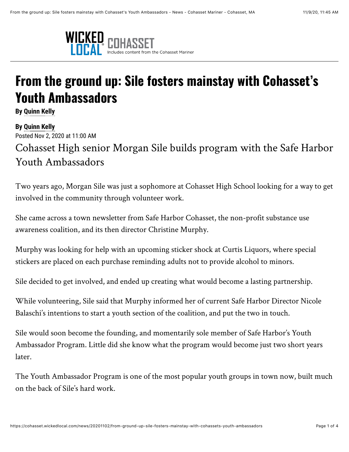

## **From the ground up: Sile fosters mainstay with Cohasset's Youth Ambassadors**

**By [Quinn Kelly](mailto:qkelly@wickedlocal.com)**

**By [Quinn Kelly](mailto:qkelly@wickedlocal.com)** Posted Nov 2, 2020 at 11:00 AM

Cohasset High senior Morgan Sile builds program with the Safe Harbor Youth Ambassadors

Two years ago, Morgan Sile was just a sophomore at Cohasset High School looking for a way to get involved in the community through volunteer work.

She came across a town newsletter from Safe Harbor Cohasset, the non-profit substance use awareness coalition, and its then director Christine Murphy.

Murphy was looking for help with an upcoming sticker shock at Curtis Liquors, where special stickers are placed on each purchase reminding adults not to provide alcohol to minors.

Sile decided to get involved, and ended up creating what would become a lasting partnership.

While volunteering, Sile said that Murphy informed her of current Safe Harbor Director Nicole Balaschi's intentions to start a youth section of the coalition, and put the two in touch.

Sile would soon become the founding, and momentarily sole member of Safe Harbor's Youth Ambassador Program. Little did she know what the program would become just two short years later.

The Youth Ambassador Program is one of the most popular youth groups in town now, built much on the back of Sile's hard work.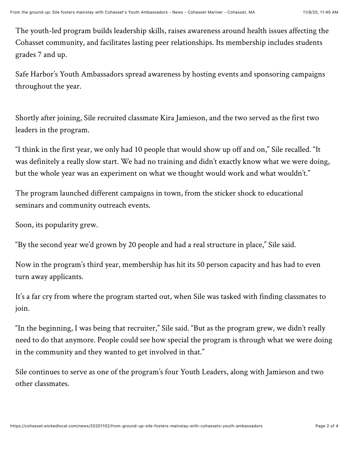The youth-led program builds leadership skills, raises awareness around health issues affecting the Cohasset community, and facilitates lasting peer relationships. Its membership includes students grades 7 and up.

Safe Harbor's Youth Ambassadors spread awareness by hosting events and sponsoring campaigns throughout the year.

Shortly after joining, Sile recruited classmate Kira Jamieson, and the two served as the first two leaders in the program.

"I think in the first year, we only had 10 people that would show up off and on," Sile recalled. "It was definitely a really slow start. We had no training and didn't exactly know what we were doing, but the whole year was an experiment on what we thought would work and what wouldn't."

The program launched different campaigns in town, from the sticker shock to educational seminars and community outreach events.

Soon, its popularity grew.

"By the second year we'd grown by 20 people and had a real structure in place," Sile said.

Now in the program's third year, membership has hit its 50 person capacity and has had to even turn away applicants.

It's a far cry from where the program started out, when Sile was tasked with finding classmates to join.

"In the beginning, I was being that recruiter," Sile said. "But as the program grew, we didn't really need to do that anymore. People could see how special the program is through what we were doing in the community and they wanted to get involved in that."

Sile continues to serve as one of the program's four Youth Leaders, along with Jamieson and two other classmates.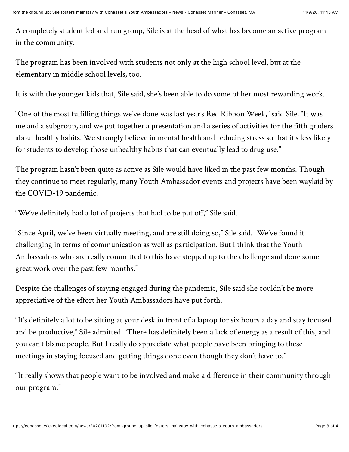A completely student led and run group, Sile is at the head of what has become an active program in the community.

The program has been involved with students not only at the high school level, but at the elementary in middle school levels, too.

It is with the younger kids that, Sile said, she's been able to do some of her most rewarding work.

"One of the most fulfilling things we've done was last year's Red Ribbon Week," said Sile. "It was me and a subgroup, and we put together a presentation and a series of activities for the fifth graders about healthy habits. We strongly believe in mental health and reducing stress so that it's less likely for students to develop those unhealthy habits that can eventually lead to drug use."

The program hasn't been quite as active as Sile would have liked in the past few months. Though they continue to meet regularly, many Youth Ambassador events and projects have been waylaid by the COVID-19 pandemic.

"We've definitely had a lot of projects that had to be put off," Sile said.

"Since April, we've been virtually meeting, and are still doing so," Sile said. "We've found it challenging in terms of communication as well as participation. But I think that the Youth Ambassadors who are really committed to this have stepped up to the challenge and done some great work over the past few months."

Despite the challenges of staying engaged during the pandemic, Sile said she couldn't be more appreciative of the effort her Youth Ambassadors have put forth.

"It's definitely a lot to be sitting at your desk in front of a laptop for six hours a day and stay focused and be productive," Sile admitted. "There has definitely been a lack of energy as a result of this, and you can't blame people. But I really do appreciate what people have been bringing to these meetings in staying focused and getting things done even though they don't have to."

"It really shows that people want to be involved and make a difference in their community through our program."